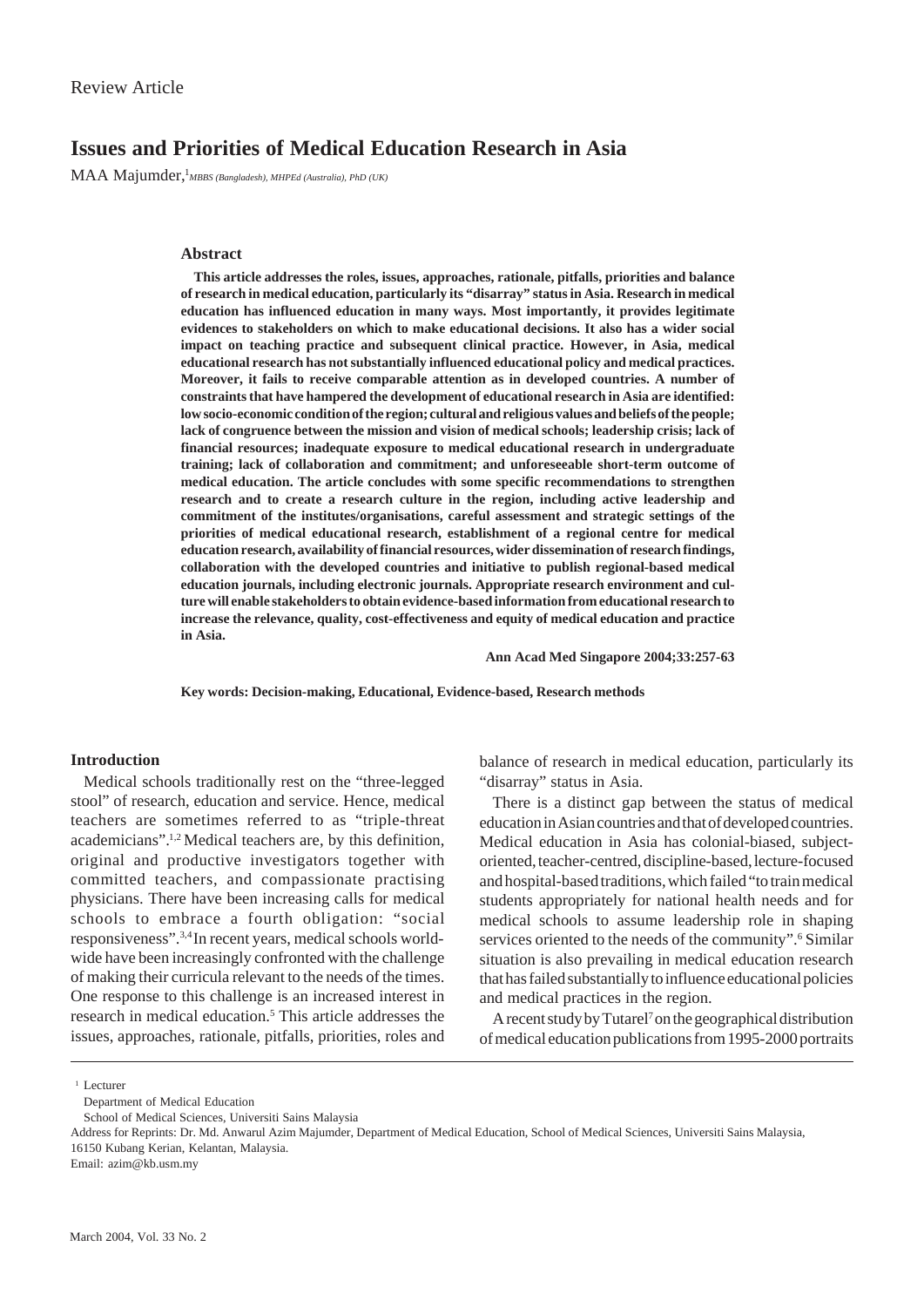# **Issues and Priorities of Medical Education Research in Asia**

MAA Majumder, <sup>1</sup>*MBBS (Bangladesh), MHPEd (Australia), PhD (UK)* 

# **Abstract**

**This article addresses the roles, issues, approaches, rationale, pitfalls, priorities and balance of research in medical education, particularly its "disarray" status in Asia. Research in medical education has influenced education in many ways. Most importantly, it provides legitimate evidences to stakeholders on which to make educational decisions. It also has a wider social impact on teaching practice and subsequent clinical practice. However, in Asia, medical educational research has not substantially influenced educational policy and medical practices. Moreover, it fails to receive comparable attention as in developed countries. A number of constraints that have hampered the development of educational research in Asia are identified: low socio-economic condition of the region; cultural and religious values and beliefs of the people; lack of congruence between the mission and vision of medical schools; leadership crisis; lack of financial resources; inadequate exposure to medical educational research in undergraduate training; lack of collaboration and commitment; and unforeseeable short-term outcome of medical education. The article concludes with some specific recommendations to strengthen research and to create a research culture in the region, including active leadership and commitment of the institutes/organisations, careful assessment and strategic settings of the priorities of medical educational research, establishment of a regional centre for medical education research, availability of financial resources, wider dissemination of research findings, collaboration with the developed countries and initiative to publish regional-based medical education journals, including electronic journals. Appropriate research environment and culture will enable stakeholders to obtain evidence-based information from educational research to increase the relevance, quality, cost-effectiveness and equity of medical education and practice in Asia.**

**Ann Acad Med Singapore 2004;33:257-63**

**Key words: Decision-making, Educational, Evidence-based, Research methods**

# **Introduction**

Medical schools traditionally rest on the "three-legged stool" of research, education and service. Hence, medical teachers are sometimes referred to as "triple-threat academicians".1,2 Medical teachers are, by this definition, original and productive investigators together with committed teachers, and compassionate practising physicians. There have been increasing calls for medical schools to embrace a fourth obligation: "social responsiveness".3,4 In recent years, medical schools worldwide have been increasingly confronted with the challenge of making their curricula relevant to the needs of the times. One response to this challenge is an increased interest in research in medical education.<sup>5</sup> This article addresses the issues, approaches, rationale, pitfalls, priorities, roles and balance of research in medical education, particularly its "disarray" status in Asia.

There is a distinct gap between the status of medical education in Asian countries and that of developed countries. Medical education in Asia has colonial-biased, subjectoriented, teacher-centred, discipline-based, lecture-focused and hospital-based traditions, which failed "to train medical students appropriately for national health needs and for medical schools to assume leadership role in shaping services oriented to the needs of the community".<sup>6</sup> Similar situation is also prevailing in medical education research that has failed substantially to influence educational policies and medical practices in the region.

A recent study by Tutarel<sup>7</sup> on the geographical distribution of medical education publications from 1995-2000 portraits

Email: azim@kb.usm.my

 $1$  Lecturer

Department of Medical Education

School of Medical Sciences, Universiti Sains Malaysia

Address for Reprints: Dr. Md. Anwarul Azim Majumder, Department of Medical Education, School of Medical Sciences, Universiti Sains Malaysia, 16150 Kubang Kerian, Kelantan, Malaysia.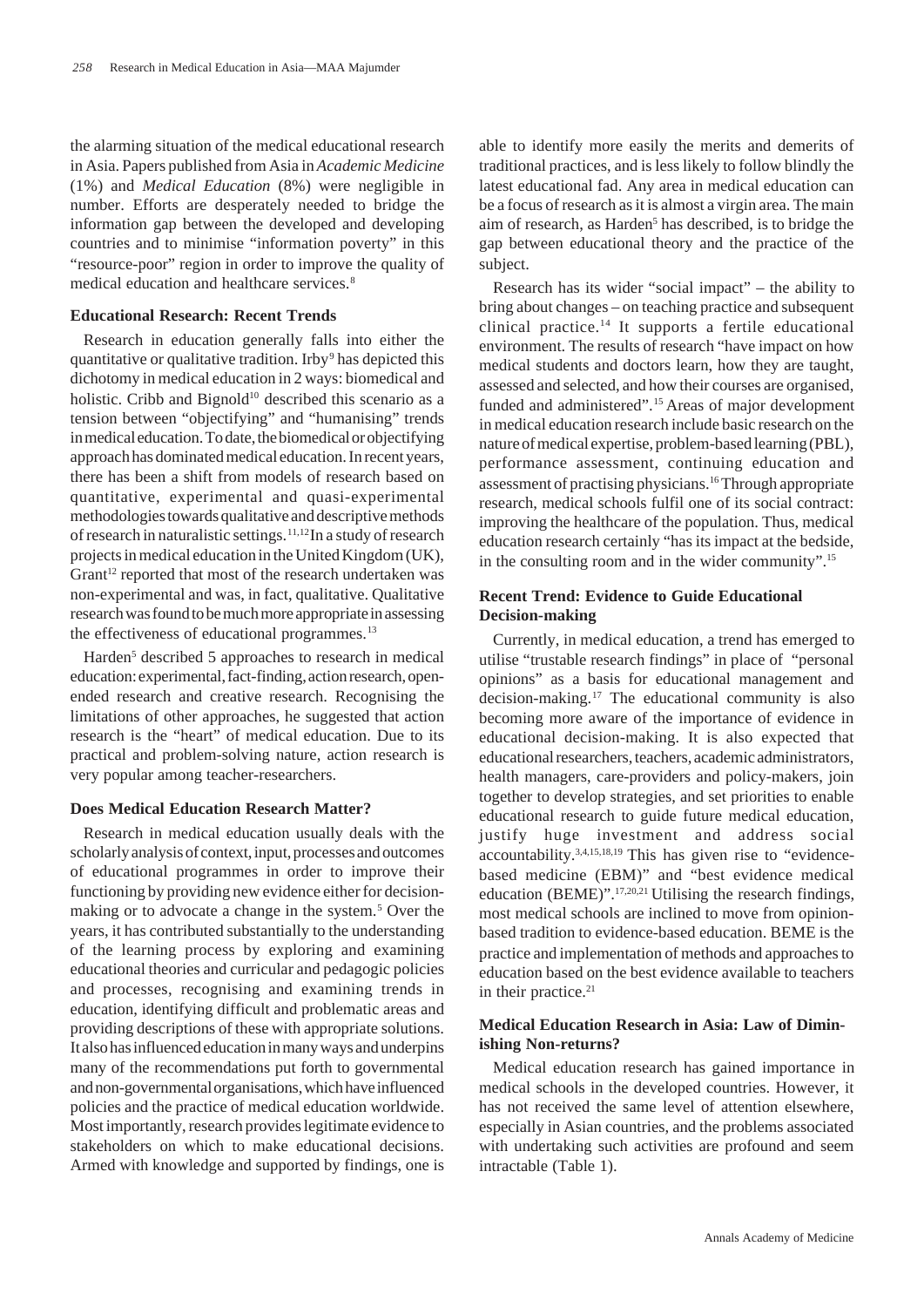the alarming situation of the medical educational research in Asia. Papers published from Asia in *Academic Medicine* (1%) and *Medical Education* (8%) were negligible in number. Efforts are desperately needed to bridge the information gap between the developed and developing countries and to minimise "information poverty" in this "resource-poor" region in order to improve the quality of medical education and healthcare services.<sup>8</sup>

# **Educational Research: Recent Trends**

Research in education generally falls into either the quantitative or qualitative tradition. Irby<sup>9</sup> has depicted this dichotomy in medical education in 2 ways: biomedical and holistic. Cribb and Bignold<sup>10</sup> described this scenario as a tension between "objectifying" and "humanising" trends in medical education. To date, the biomedical or objectifying approach has dominated medical education. In recent years, there has been a shift from models of research based on quantitative, experimental and quasi-experimental methodologies towards qualitative and descriptive methods of research in naturalistic settings.11,12 In a study of research projects in medical education in the United Kingdom (UK), Grant<sup>12</sup> reported that most of the research undertaken was non-experimental and was, in fact, qualitative. Qualitative research was found to be much more appropriate in assessing the effectiveness of educational programmes.<sup>13</sup>

Harden<sup>5</sup> described 5 approaches to research in medical education: experimental, fact-finding, action research, openended research and creative research. Recognising the limitations of other approaches, he suggested that action research is the "heart" of medical education. Due to its practical and problem-solving nature, action research is very popular among teacher-researchers.

### **Does Medical Education Research Matter?**

Research in medical education usually deals with the scholarly analysis of context, input, processes and outcomes of educational programmes in order to improve their functioning by providing new evidence either for decisionmaking or to advocate a change in the system.<sup>5</sup> Over the years, it has contributed substantially to the understanding of the learning process by exploring and examining educational theories and curricular and pedagogic policies and processes, recognising and examining trends in education, identifying difficult and problematic areas and providing descriptions of these with appropriate solutions. It also has influenced education in many ways and underpins many of the recommendations put forth to governmental and non-governmental organisations, which have influenced policies and the practice of medical education worldwide. Most importantly, research provides legitimate evidence to stakeholders on which to make educational decisions. Armed with knowledge and supported by findings, one is able to identify more easily the merits and demerits of traditional practices, and is less likely to follow blindly the latest educational fad. Any area in medical education can be a focus of research as it is almost a virgin area. The main aim of research, as Harden<sup>5</sup> has described, is to bridge the gap between educational theory and the practice of the subject.

Research has its wider "social impact" – the ability to bring about changes – on teaching practice and subsequent clinical practice.<sup>14</sup> It supports a fertile educational environment. The results of research "have impact on how medical students and doctors learn, how they are taught, assessed and selected, and how their courses are organised, funded and administered".<sup>15</sup> Areas of major development in medical education research include basic research on the nature of medical expertise, problem-based learning (PBL), performance assessment, continuing education and assessment of practising physicians.16 Through appropriate research, medical schools fulfil one of its social contract: improving the healthcare of the population. Thus, medical education research certainly "has its impact at the bedside, in the consulting room and in the wider community".15

# **Recent Trend: Evidence to Guide Educational Decision-making**

Currently, in medical education, a trend has emerged to utilise "trustable research findings" in place of "personal opinions" as a basis for educational management and decision-making.17 The educational community is also becoming more aware of the importance of evidence in educational decision-making. It is also expected that educational researchers, teachers, academic administrators, health managers, care-providers and policy-makers, join together to develop strategies, and set priorities to enable educational research to guide future medical education, justify huge investment and address social accountability.3,4,15,18,19 This has given rise to "evidencebased medicine (EBM)" and "best evidence medical education (BEME)".17,20,21 Utilising the research findings, most medical schools are inclined to move from opinionbased tradition to evidence-based education. BEME is the practice and implementation of methods and approaches to education based on the best evidence available to teachers in their practice.<sup>21</sup>

# **Medical Education Research in Asia: Law of Diminishing Non-returns?**

Medical education research has gained importance in medical schools in the developed countries. However, it has not received the same level of attention elsewhere, especially in Asian countries, and the problems associated with undertaking such activities are profound and seem intractable (Table 1).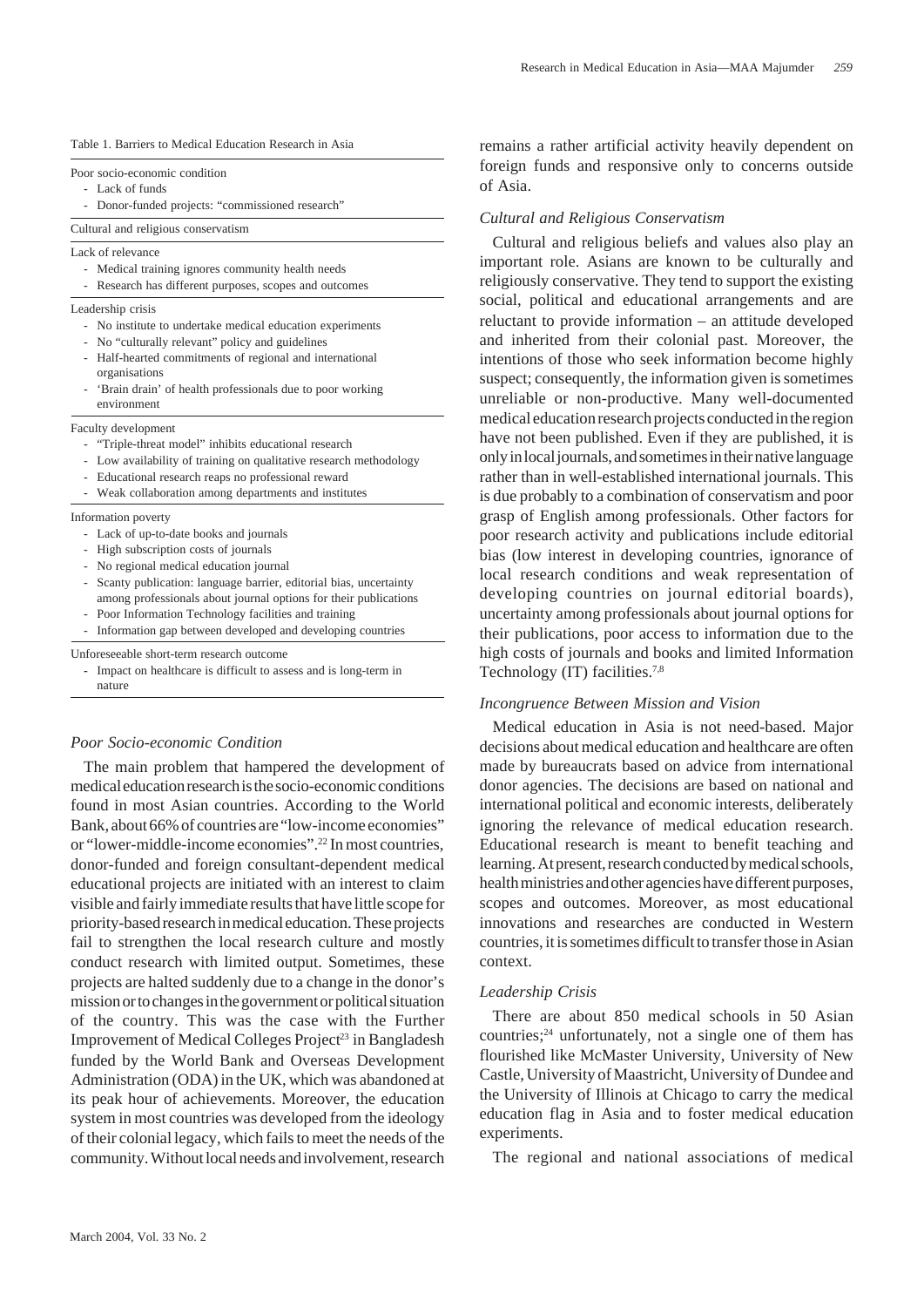|  |  |  |  | Table 1. Barriers to Medical Education Research in Asia |  |  |  |
|--|--|--|--|---------------------------------------------------------|--|--|--|
|--|--|--|--|---------------------------------------------------------|--|--|--|

Poor socio-economic condition

- Lack of funds
- Donor-funded projects: "commissioned research"

Cultural and religious conservatism

Lack of relevance

- Medical training ignores community health needs
- Research has different purposes, scopes and outcomes
- Leadership crisis
	- No institute to undertake medical education experiments
	- No "culturally relevant" policy and guidelines
	- Half-hearted commitments of regional and international organisations
	- 'Brain drain' of health professionals due to poor working environment

Faculty development

- "Triple-threat model" inhibits educational research
- Low availability of training on qualitative research methodology
- Educational research reaps no professional reward
- Weak collaboration among departments and institutes

Information poverty

- Lack of up-to-date books and journals
- High subscription costs of journals
- No regional medical education journal
- Scanty publication: language barrier, editorial bias, uncertainty among professionals about journal options for their publications
- Poor Information Technology facilities and training
- Information gap between developed and developing countries

Unforeseeable short-term research outcome

**-** Impact on healthcare is difficult to assess and is long-term in nature

### *Poor Socio-economic Condition*

The main problem that hampered the development of medical education research is the socio-economic conditions found in most Asian countries. According to the World Bank, about 66% of countries are "low-income economies" or "lower-middle-income economies".22 In most countries, donor-funded and foreign consultant-dependent medical educational projects are initiated with an interest to claim visible and fairly immediate results that have little scope for priority-based research in medical education. These projects fail to strengthen the local research culture and mostly conduct research with limited output. Sometimes, these projects are halted suddenly due to a change in the donor's mission or to changes in the government or political situation of the country. This was the case with the Further Improvement of Medical Colleges Project<sup>23</sup> in Bangladesh funded by the World Bank and Overseas Development Administration (ODA) in the UK, which was abandoned at its peak hour of achievements. Moreover, the education system in most countries was developed from the ideology of their colonial legacy, which fails to meet the needs of the community. Without local needs and involvement, research

remains a rather artificial activity heavily dependent on foreign funds and responsive only to concerns outside of Asia.

#### *Cultural and Religious Conservatism*

Cultural and religious beliefs and values also play an important role. Asians are known to be culturally and religiously conservative. They tend to support the existing social, political and educational arrangements and are reluctant to provide information – an attitude developed and inherited from their colonial past. Moreover, the intentions of those who seek information become highly suspect; consequently, the information given is sometimes unreliable or non-productive. Many well-documented medical education research projects conducted in the region have not been published. Even if they are published, it is only in local journals, and sometimes in their native language rather than in well-established international journals. This is due probably to a combination of conservatism and poor grasp of English among professionals. Other factors for poor research activity and publications include editorial bias (low interest in developing countries, ignorance of local research conditions and weak representation of developing countries on journal editorial boards), uncertainty among professionals about journal options for their publications, poor access to information due to the high costs of journals and books and limited Information Technology (IT) facilities.<sup>7,8</sup>

#### *Incongruence Between Mission and Vision*

Medical education in Asia is not need-based. Major decisions about medical education and healthcare are often made by bureaucrats based on advice from international donor agencies. The decisions are based on national and international political and economic interests, deliberately ignoring the relevance of medical education research. Educational research is meant to benefit teaching and learning. At present, research conducted by medical schools, health ministries and other agencies have different purposes, scopes and outcomes. Moreover, as most educational innovations and researches are conducted in Western countries, it is sometimes difficult to transfer those in Asian context.

#### *Leadership Crisis*

There are about 850 medical schools in 50 Asian countries;24 unfortunately, not a single one of them has flourished like McMaster University, University of New Castle, University of Maastricht, University of Dundee and the University of Illinois at Chicago to carry the medical education flag in Asia and to foster medical education experiments.

The regional and national associations of medical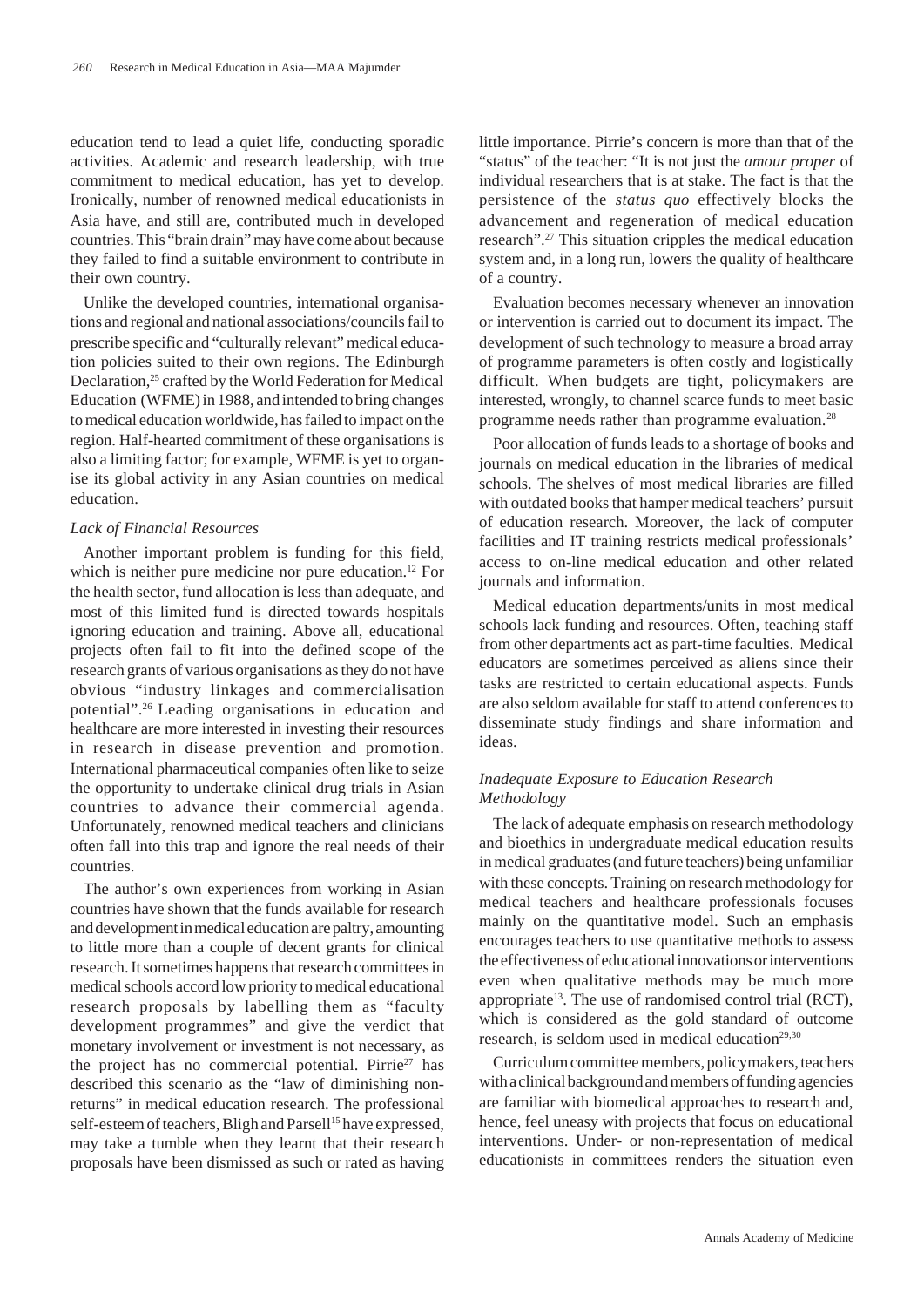education tend to lead a quiet life, conducting sporadic activities. Academic and research leadership, with true commitment to medical education, has yet to develop. Ironically, number of renowned medical educationists in Asia have, and still are, contributed much in developed countries. This "brain drain" may have come about because they failed to find a suitable environment to contribute in their own country.

Unlike the developed countries, international organisations and regional and national associations/councils fail to prescribe specific and "culturally relevant" medical education policies suited to their own regions. The Edinburgh Declaration,25 crafted by the World Federation for Medical Education (WFME) in 1988, and intended to bring changes to medical education worldwide, has failed to impact on the region. Half-hearted commitment of these organisations is also a limiting factor; for example, WFME is yet to organise its global activity in any Asian countries on medical education.

### *Lack of Financial Resources*

Another important problem is funding for this field, which is neither pure medicine nor pure education.<sup>12</sup> For the health sector, fund allocation is less than adequate, and most of this limited fund is directed towards hospitals ignoring education and training. Above all, educational projects often fail to fit into the defined scope of the research grants of various organisations as they do not have obvious "industry linkages and commercialisation potential".26 Leading organisations in education and healthcare are more interested in investing their resources in research in disease prevention and promotion. International pharmaceutical companies often like to seize the opportunity to undertake clinical drug trials in Asian countries to advance their commercial agenda. Unfortunately, renowned medical teachers and clinicians often fall into this trap and ignore the real needs of their countries.

The author's own experiences from working in Asian countries have shown that the funds available for research and development in medical education are paltry, amounting to little more than a couple of decent grants for clinical research. It sometimes happens that research committees in medical schools accord low priority to medical educational research proposals by labelling them as "faculty development programmes" and give the verdict that monetary involvement or investment is not necessary, as the project has no commercial potential. Pirrie<sup>27</sup> has described this scenario as the "law of diminishing nonreturns" in medical education research. The professional self-esteem of teachers, Bligh and Parsell<sup>15</sup> have expressed, may take a tumble when they learnt that their research proposals have been dismissed as such or rated as having

little importance. Pirrie's concern is more than that of the "status" of the teacher: "It is not just the *amour proper* of individual researchers that is at stake. The fact is that the persistence of the *status quo* effectively blocks the advancement and regeneration of medical education research".27 This situation cripples the medical education system and, in a long run, lowers the quality of healthcare of a country.

Evaluation becomes necessary whenever an innovation or intervention is carried out to document its impact. The development of such technology to measure a broad array of programme parameters is often costly and logistically difficult. When budgets are tight, policymakers are interested, wrongly, to channel scarce funds to meet basic programme needs rather than programme evaluation.<sup>28</sup>

Poor allocation of funds leads to a shortage of books and journals on medical education in the libraries of medical schools. The shelves of most medical libraries are filled with outdated books that hamper medical teachers' pursuit of education research. Moreover, the lack of computer facilities and IT training restricts medical professionals' access to on-line medical education and other related journals and information.

Medical education departments/units in most medical schools lack funding and resources. Often, teaching staff from other departments act as part-time faculties. Medical educators are sometimes perceived as aliens since their tasks are restricted to certain educational aspects. Funds are also seldom available for staff to attend conferences to disseminate study findings and share information and ideas.

# *Inadequate Exposure to Education Research Methodology*

The lack of adequate emphasis on research methodology and bioethics in undergraduate medical education results in medical graduates (and future teachers) being unfamiliar with these concepts. Training on research methodology for medical teachers and healthcare professionals focuses mainly on the quantitative model. Such an emphasis encourages teachers to use quantitative methods to assess the effectiveness of educational innovations or interventions even when qualitative methods may be much more appropriate<sup>13</sup>. The use of randomised control trial (RCT), which is considered as the gold standard of outcome research, is seldom used in medical education<sup>29,30</sup>

Curriculum committee members, policymakers, teachers with a clinical background and members of funding agencies are familiar with biomedical approaches to research and, hence, feel uneasy with projects that focus on educational interventions. Under- or non-representation of medical educationists in committees renders the situation even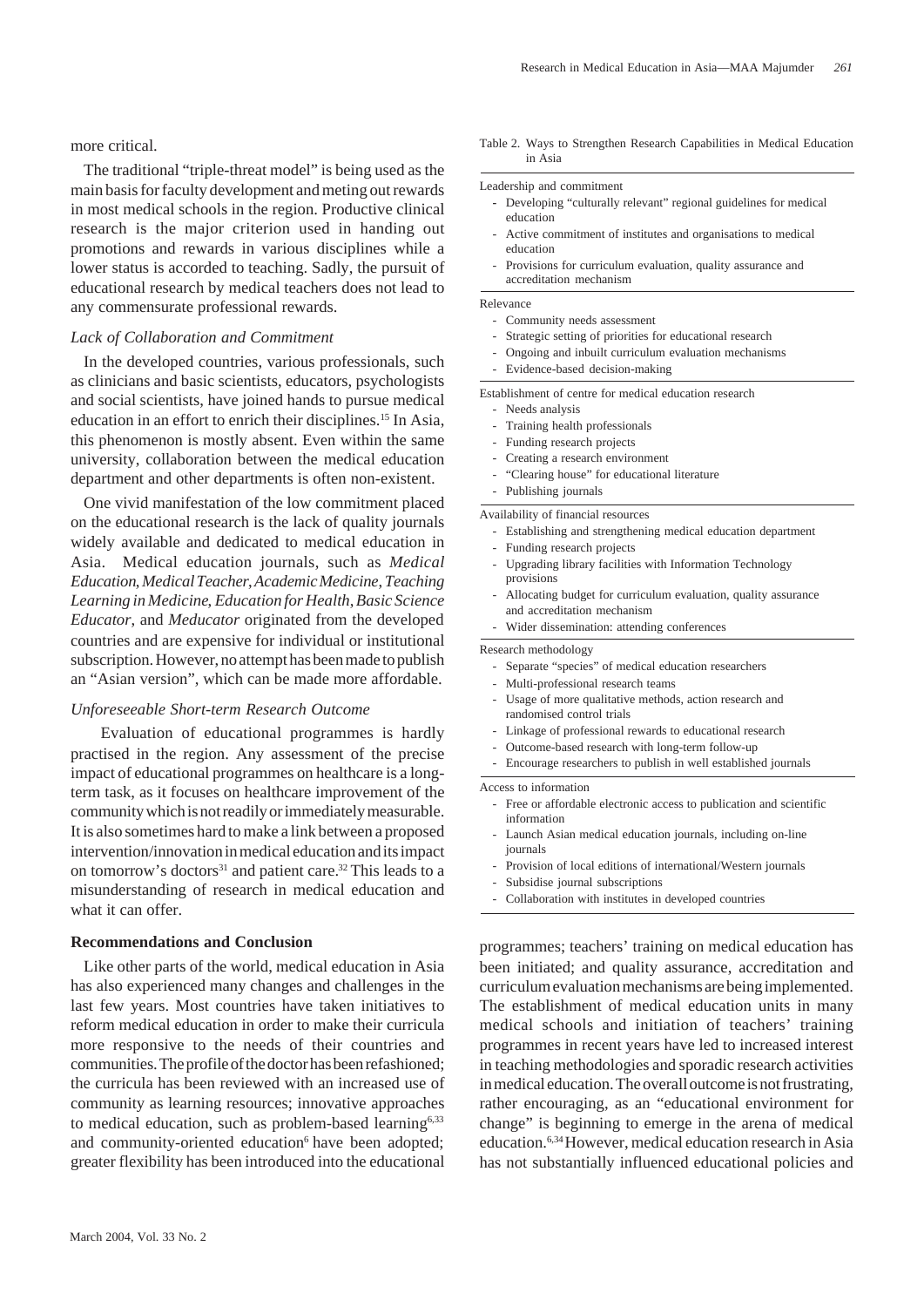more critical.

The traditional "triple-threat model" is being used as the main basis for faculty development and meting out rewards in most medical schools in the region. Productive clinical research is the major criterion used in handing out promotions and rewards in various disciplines while a lower status is accorded to teaching. Sadly, the pursuit of educational research by medical teachers does not lead to any commensurate professional rewards.

### *Lack of Collaboration and Commitment*

In the developed countries, various professionals, such as clinicians and basic scientists, educators, psychologists and social scientists, have joined hands to pursue medical education in an effort to enrich their disciplines.15 In Asia, this phenomenon is mostly absent. Even within the same university, collaboration between the medical education department and other departments is often non-existent.

One vivid manifestation of the low commitment placed on the educational research is the lack of quality journals widely available and dedicated to medical education in Asia. Medical education journals, such as *Medical Education*, *Medical Teacher*, *Academic Medicine*, *Teaching Learning in Medicine*, *Education for Health*, *Basic Science Educator*, and *Meducator* originated from the developed countries and are expensive for individual or institutional subscription. However, no attempt has been made to publish an "Asian version", which can be made more affordable.

### *Unforeseeable Short-term Research Outcome*

 Evaluation of educational programmes is hardly practised in the region. Any assessment of the precise impact of educational programmes on healthcare is a longterm task, as it focuses on healthcare improvement of the community which is not readily or immediately measurable. It is also sometimes hard to make a link between a proposed intervention/innovation in medical education and its impact on tomorrow's doctors<sup>31</sup> and patient care.<sup>32</sup> This leads to a misunderstanding of research in medical education and what it can offer.

## **Recommendations and Conclusion**

Like other parts of the world, medical education in Asia has also experienced many changes and challenges in the last few years. Most countries have taken initiatives to reform medical education in order to make their curricula more responsive to the needs of their countries and communities. The profile of the doctor has been refashioned; the curricula has been reviewed with an increased use of community as learning resources; innovative approaches to medical education, such as problem-based learning $6,33$ and community-oriented education<sup>6</sup> have been adopted; greater flexibility has been introduced into the educational

#### Table 2. Ways to Strengthen Research Capabilities in Medical Education in Asia

#### Leadership and commitment

- **-** Developing "culturally relevant" regional guidelines for medical education
- Active commitment of institutes and organisations to medical education
- Provisions for curriculum evaluation, quality assurance and accreditation mechanism

Relevance

- Community needs assessment
- Strategic setting of priorities for educational research
- Ongoing and inbuilt curriculum evaluation mechanisms
- Evidence-based decision-making

Establishment of centre for medical education research

- Needs analysis
- Training health professionals
- Funding research projects
- Creating a research environment
- "Clearing house" for educational literature

- Publishing journals

Availability of financial resources

- Establishing and strengthening medical education department - Funding research projects
- Upgrading library facilities with Information Technology provisions
- Allocating budget for curriculum evaluation, quality assurance and accreditation mechanism
- Wider dissemination: attending conferences

Research methodology

- Separate "species" of medical education researchers
- Multi-professional research teams
- Usage of more qualitative methods, action research and randomised control trials
- Linkage of professional rewards to educational research
- Outcome-based research with long-term follow-up
- Encourage researchers to publish in well established journals

Access to information

- Free or affordable electronic access to publication and scientific information
- Launch Asian medical education journals, including on-line journals
- Provision of local editions of international/Western journals
- Subsidise journal subscriptions
- Collaboration with institutes in developed countries

programmes; teachers' training on medical education has been initiated; and quality assurance, accreditation and curriculum evaluation mechanisms are being implemented. The establishment of medical education units in many medical schools and initiation of teachers' training programmes in recent years have led to increased interest in teaching methodologies and sporadic research activities in medical education. The overall outcome is not frustrating, rather encouraging, as an "educational environment for change" is beginning to emerge in the arena of medical education.6,34 However, medical education research in Asia has not substantially influenced educational policies and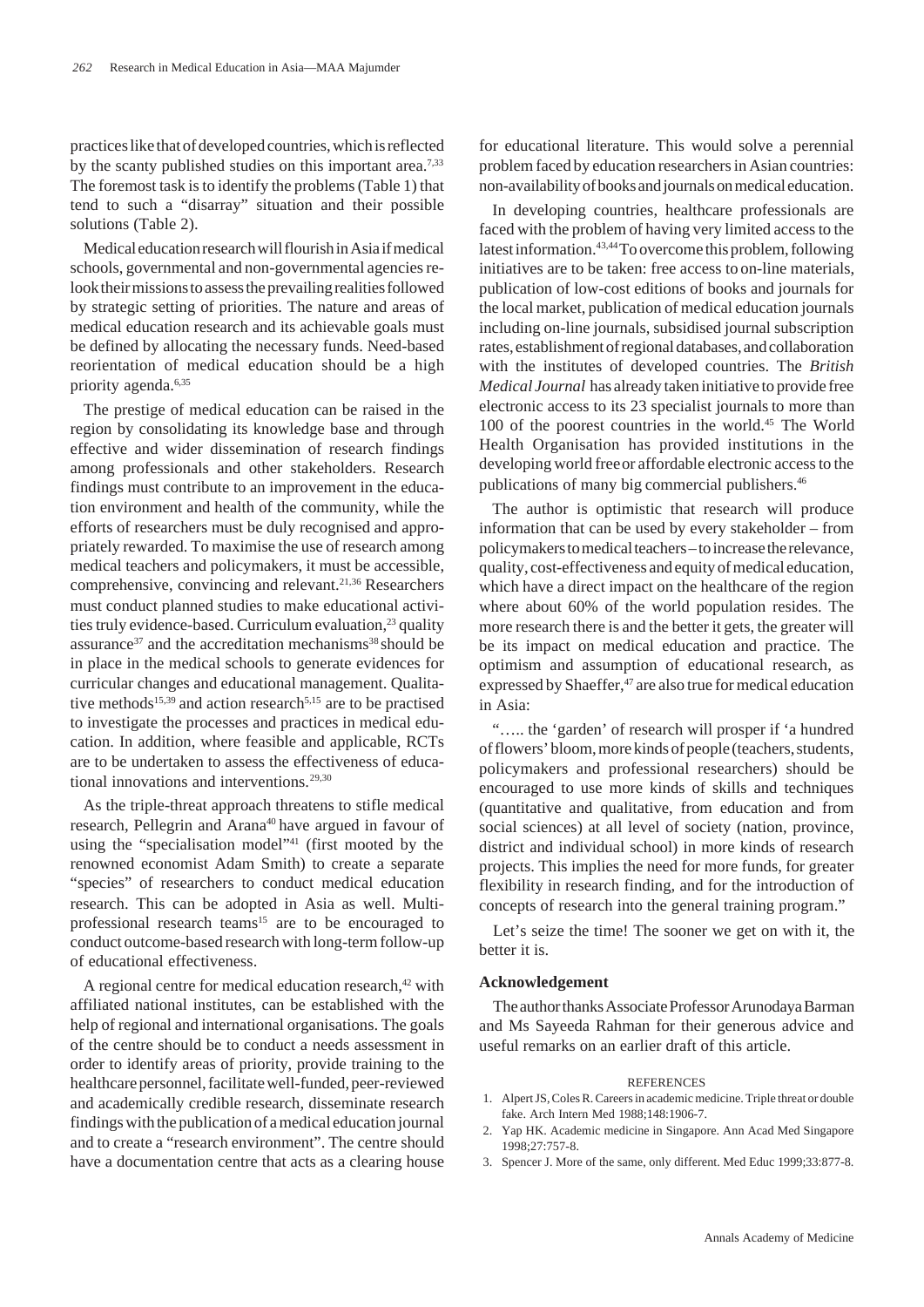practices like that of developed countries, which is reflected by the scanty published studies on this important area.<sup>7,33</sup> The foremost task is to identify the problems (Table 1) that tend to such a "disarray" situation and their possible solutions (Table 2).

Medical education research will flourish in Asia if medical schools, governmental and non-governmental agencies relook their missions to assess the prevailing realities followed by strategic setting of priorities. The nature and areas of medical education research and its achievable goals must be defined by allocating the necessary funds. Need-based reorientation of medical education should be a high priority agenda.6,35

The prestige of medical education can be raised in the region by consolidating its knowledge base and through effective and wider dissemination of research findings among professionals and other stakeholders. Research findings must contribute to an improvement in the education environment and health of the community, while the efforts of researchers must be duly recognised and appropriately rewarded. To maximise the use of research among medical teachers and policymakers, it must be accessible, comprehensive, convincing and relevant.<sup>21,36</sup> Researchers must conduct planned studies to make educational activities truly evidence-based. Curriculum evaluation,<sup>23</sup> quality assurance<sup>37</sup> and the accreditation mechanisms<sup>38</sup> should be in place in the medical schools to generate evidences for curricular changes and educational management. Qualitative methods<sup>15,39</sup> and action research<sup>5,15</sup> are to be practised to investigate the processes and practices in medical education. In addition, where feasible and applicable, RCTs are to be undertaken to assess the effectiveness of educational innovations and interventions.<sup>29,30</sup>

As the triple-threat approach threatens to stifle medical research, Pellegrin and Arana<sup>40</sup> have argued in favour of using the "specialisation model"<sup>41</sup> (first mooted by the renowned economist Adam Smith) to create a separate "species" of researchers to conduct medical education research. This can be adopted in Asia as well. Multiprofessional research teams<sup>15</sup> are to be encouraged to conduct outcome-based research with long-term follow-up of educational effectiveness.

A regional centre for medical education research, $42$  with affiliated national institutes, can be established with the help of regional and international organisations. The goals of the centre should be to conduct a needs assessment in order to identify areas of priority, provide training to the healthcare personnel, facilitate well-funded, peer-reviewed and academically credible research, disseminate research findings with the publication of a medical education journal and to create a "research environment". The centre should have a documentation centre that acts as a clearing house for educational literature. This would solve a perennial problem faced by education researchers in Asian countries: non-availability of books and journals on medical education.

In developing countries, healthcare professionals are faced with the problem of having very limited access to the latest information.43,44 To overcome this problem, following initiatives are to be taken: free access to on-line materials, publication of low-cost editions of books and journals for the local market, publication of medical education journals including on-line journals, subsidised journal subscription rates, establishment of regional databases, and collaboration with the institutes of developed countries. The *British Medical Journal* has already taken initiative to provide free electronic access to its 23 specialist journals to more than 100 of the poorest countries in the world.<sup>45</sup> The World Health Organisation has provided institutions in the developing world freeor affordable electronic access to the publications of many big commercial publishers.<sup>46</sup>

The author is optimistic that research will produce information that can be used by every stakeholder – from policymakers to medical teachers – to increase the relevance, quality, cost-effectiveness and equity of medical education, which have a direct impact on the healthcare of the region where about 60% of the world population resides. The more research there is and the better it gets, the greater will be its impact on medical education and practice. The optimism and assumption of educational research, as expressed by Shaeffer,<sup>47</sup> are also true for medical education in Asia:

"….. the 'garden' of research will prosper if 'a hundred of flowers' bloom, more kinds of people (teachers, students, policymakers and professional researchers) should be encouraged to use more kinds of skills and techniques (quantitative and qualitative, from education and from social sciences) at all level of society (nation, province, district and individual school) in more kinds of research projects. This implies the need for more funds, for greater flexibility in research finding, and for the introduction of concepts of research into the general training program."

Let's seize the time! The sooner we get on with it, the better it is.

# **Acknowledgement**

The author thanks Associate Professor Arunodaya Barman and Ms Sayeeda Rahman for their generous advice and useful remarks on an earlier draft of this article.

#### **REFERENCES**

- 1. Alpert JS, Coles R. Careers in academic medicine. Triple threat or double fake. Arch Intern Med 1988;148:1906-7.
- 2. Yap HK. Academic medicine in Singapore. Ann Acad Med Singapore 1998;27:757-8.
- 3. Spencer J. More of the same, only different. Med Educ 1999;33:877-8.